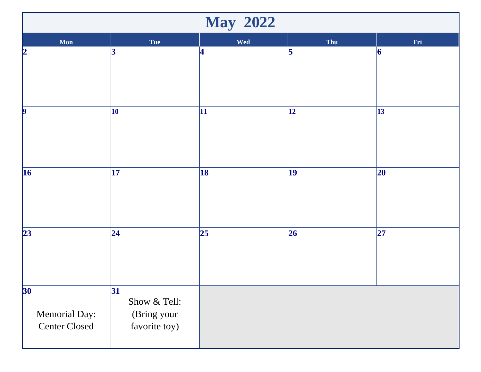| <b>May 2022</b>                                          |                                                     |     |              |              |  |  |  |
|----------------------------------------------------------|-----------------------------------------------------|-----|--------------|--------------|--|--|--|
| Mon                                                      | Tue                                                 | Wed | Thu          | Fri          |  |  |  |
| 2                                                        | 3                                                   | 4   | 5            | 6            |  |  |  |
| $\vert$ 9                                                | 10                                                  | 11  | $\vert$ 12   | $\vert$ 13   |  |  |  |
| 16                                                       | 17                                                  | 18  | $ 19\rangle$ | $ 20\rangle$ |  |  |  |
| 23                                                       | $\overline{24}$                                     | 25  | 26           | 27           |  |  |  |
| 30 <sup>°</sup><br>Memorial Day:<br><b>Center Closed</b> | 31 <br>Show & Tell:<br>(Bring your<br>favorite toy) |     |              |              |  |  |  |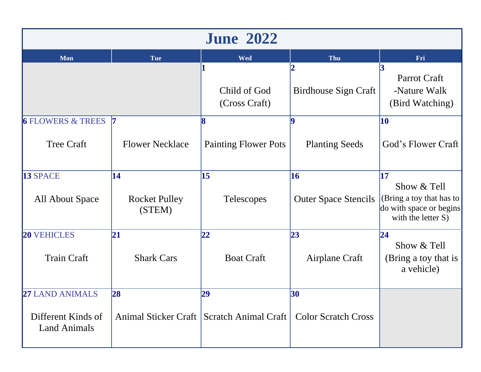| <b>June 2022</b>                          |                                |                                             |                             |                                                                                          |  |  |  |
|-------------------------------------------|--------------------------------|---------------------------------------------|-----------------------------|------------------------------------------------------------------------------------------|--|--|--|
| Mon                                       | Tue                            | <b>Wed</b>                                  | Thu                         | Fri                                                                                      |  |  |  |
|                                           |                                | Child of God<br>(Cross Craft)               | <b>Birdhouse Sign Craft</b> | Parrot Craft<br>-Nature Walk<br>(Bird Watching)                                          |  |  |  |
| <b>6 FLOWERS &amp; TREES</b>              | $\overline{7}$                 |                                             |                             | 10                                                                                       |  |  |  |
| <b>Tree Craft</b>                         | <b>Flower Necklace</b>         | <b>Painting Flower Pots</b>                 | <b>Planting Seeds</b>       | God's Flower Craft                                                                       |  |  |  |
| 13 SPACE                                  | 14                             | 15                                          | 16                          | 17                                                                                       |  |  |  |
| All About Space                           | <b>Rocket Pulley</b><br>(STEM) | <b>Telescopes</b>                           | <b>Outer Space Stencils</b> | Show & Tell<br>(Bring a toy that has to<br>do with space or begins<br>with the letter S) |  |  |  |
| <b>20 VEHICLES</b>                        | 21                             | 22                                          | 23                          | 24                                                                                       |  |  |  |
| <b>Train Craft</b>                        | <b>Shark Cars</b>              | <b>Boat Craft</b>                           | Airplane Craft              | Show & Tell<br>(Bring a toy that is<br>a vehicle)                                        |  |  |  |
| <b>27 LAND ANIMALS</b>                    | 28                             | 29                                          | 30                          |                                                                                          |  |  |  |
| Different Kinds of<br><b>Land Animals</b> |                                | Animal Sticker Craft   Scratch Animal Craft | <b>Color Scratch Cross</b>  |                                                                                          |  |  |  |